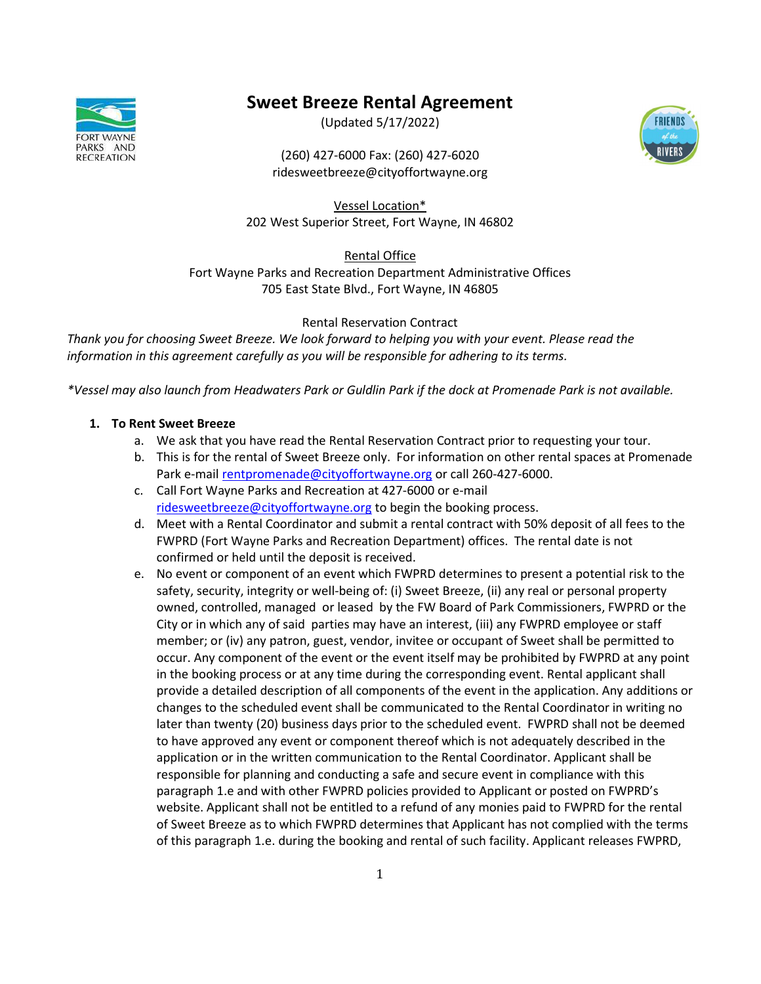

# Sweet Breeze Rental Agreement

(Updated 5/17/2022)



(260) 427-6000 Fax: (260) 427-6020 ridesweetbreeze@cityoffortwayne.org

Vessel Location\* 202 West Superior Street, Fort Wayne, IN 46802

Rental Office

Fort Wayne Parks and Recreation Department Administrative Offices 705 East State Blvd., Fort Wayne, IN 46805

Rental Reservation Contract

Thank you for choosing Sweet Breeze. We look forward to helping you with your event. Please read the information in this agreement carefully as you will be responsible for adhering to its terms.

\*Vessel may also launch from Headwaters Park or Guldlin Park if the dock at Promenade Park is not available.

# 1. To Rent Sweet Breeze

- a. We ask that you have read the Rental Reservation Contract prior to requesting your tour.
- b. This is for the rental of Sweet Breeze only. For information on other rental spaces at Promenade Park e-mail rentpromenade@cityoffortwayne.org or call 260-427-6000.
- c. Call Fort Wayne Parks and Recreation at 427-6000 or e-mail ridesweetbreeze@cityoffortwayne.org to begin the booking process.
- d. Meet with a Rental Coordinator and submit a rental contract with 50% deposit of all fees to the FWPRD (Fort Wayne Parks and Recreation Department) offices. The rental date is not confirmed or held until the deposit is received.
- e. No event or component of an event which FWPRD determines to present a potential risk to the safety, security, integrity or well-being of: (i) Sweet Breeze, (ii) any real or personal property owned, controlled, managed or leased by the FW Board of Park Commissioners, FWPRD or the City or in which any of said parties may have an interest, (iii) any FWPRD employee or staff member; or (iv) any patron, guest, vendor, invitee or occupant of Sweet shall be permitted to occur. Any component of the event or the event itself may be prohibited by FWPRD at any point in the booking process or at any time during the corresponding event. Rental applicant shall provide a detailed description of all components of the event in the application. Any additions or changes to the scheduled event shall be communicated to the Rental Coordinator in writing no later than twenty (20) business days prior to the scheduled event. FWPRD shall not be deemed to have approved any event or component thereof which is not adequately described in the application or in the written communication to the Rental Coordinator. Applicant shall be responsible for planning and conducting a safe and secure event in compliance with this paragraph 1.e and with other FWPRD policies provided to Applicant or posted on FWPRD's website. Applicant shall not be entitled to a refund of any monies paid to FWPRD for the rental of Sweet Breeze as to which FWPRD determines that Applicant has not complied with the terms of this paragraph 1.e. during the booking and rental of such facility. Applicant releases FWPRD,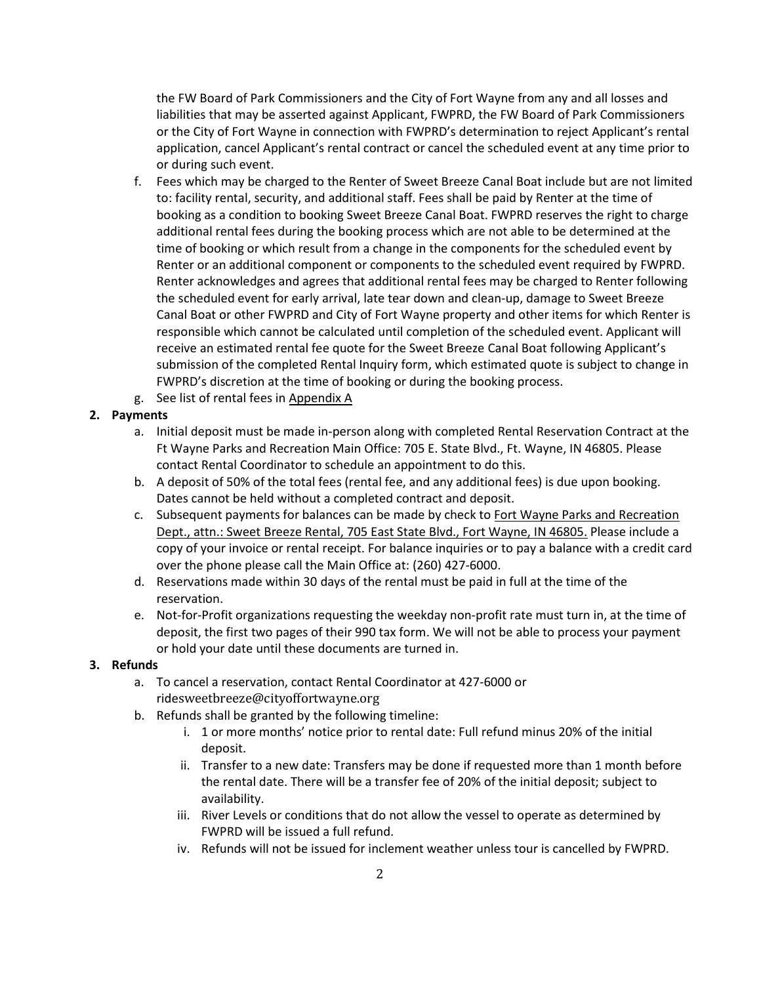the FW Board of Park Commissioners and the City of Fort Wayne from any and all losses and liabilities that may be asserted against Applicant, FWPRD, the FW Board of Park Commissioners or the City of Fort Wayne in connection with FWPRD's determination to reject Applicant's rental application, cancel Applicant's rental contract or cancel the scheduled event at any time prior to or during such event.

- f. Fees which may be charged to the Renter of Sweet Breeze Canal Boat include but are not limited to: facility rental, security, and additional staff. Fees shall be paid by Renter at the time of booking as a condition to booking Sweet Breeze Canal Boat. FWPRD reserves the right to charge additional rental fees during the booking process which are not able to be determined at the time of booking or which result from a change in the components for the scheduled event by Renter or an additional component or components to the scheduled event required by FWPRD. Renter acknowledges and agrees that additional rental fees may be charged to Renter following the scheduled event for early arrival, late tear down and clean-up, damage to Sweet Breeze Canal Boat or other FWPRD and City of Fort Wayne property and other items for which Renter is responsible which cannot be calculated until completion of the scheduled event. Applicant will receive an estimated rental fee quote for the Sweet Breeze Canal Boat following Applicant's submission of the completed Rental Inquiry form, which estimated quote is subject to change in FWPRD's discretion at the time of booking or during the booking process.
- g. See list of rental fees in Appendix A

# 2. Payments

- a. Initial deposit must be made in-person along with completed Rental Reservation Contract at the Ft Wayne Parks and Recreation Main Office: 705 E. State Blvd., Ft. Wayne, IN 46805. Please contact Rental Coordinator to schedule an appointment to do this.
- b. A deposit of 50% of the total fees (rental fee, and any additional fees) is due upon booking. Dates cannot be held without a completed contract and deposit.
- c. Subsequent payments for balances can be made by check to Fort Wayne Parks and Recreation Dept., attn.: Sweet Breeze Rental, 705 East State Blvd., Fort Wayne, IN 46805. Please include a copy of your invoice or rental receipt. For balance inquiries or to pay a balance with a credit card over the phone please call the Main Office at: (260) 427-6000.
- d. Reservations made within 30 days of the rental must be paid in full at the time of the reservation.
- e. Not-for-Profit organizations requesting the weekday non-profit rate must turn in, at the time of deposit, the first two pages of their 990 tax form. We will not be able to process your payment or hold your date until these documents are turned in.

#### 3. Refunds

- a. To cancel a reservation, contact Rental Coordinator at 427-6000 or ridesweetbreeze@cityoffortwayne.org
- b. Refunds shall be granted by the following timeline:
	- i. 1 or more months' notice prior to rental date: Full refund minus 20% of the initial deposit.
	- ii. Transfer to a new date: Transfers may be done if requested more than 1 month before the rental date. There will be a transfer fee of 20% of the initial deposit; subject to availability.
	- iii. River Levels or conditions that do not allow the vessel to operate as determined by FWPRD will be issued a full refund.
	- iv. Refunds will not be issued for inclement weather unless tour is cancelled by FWPRD.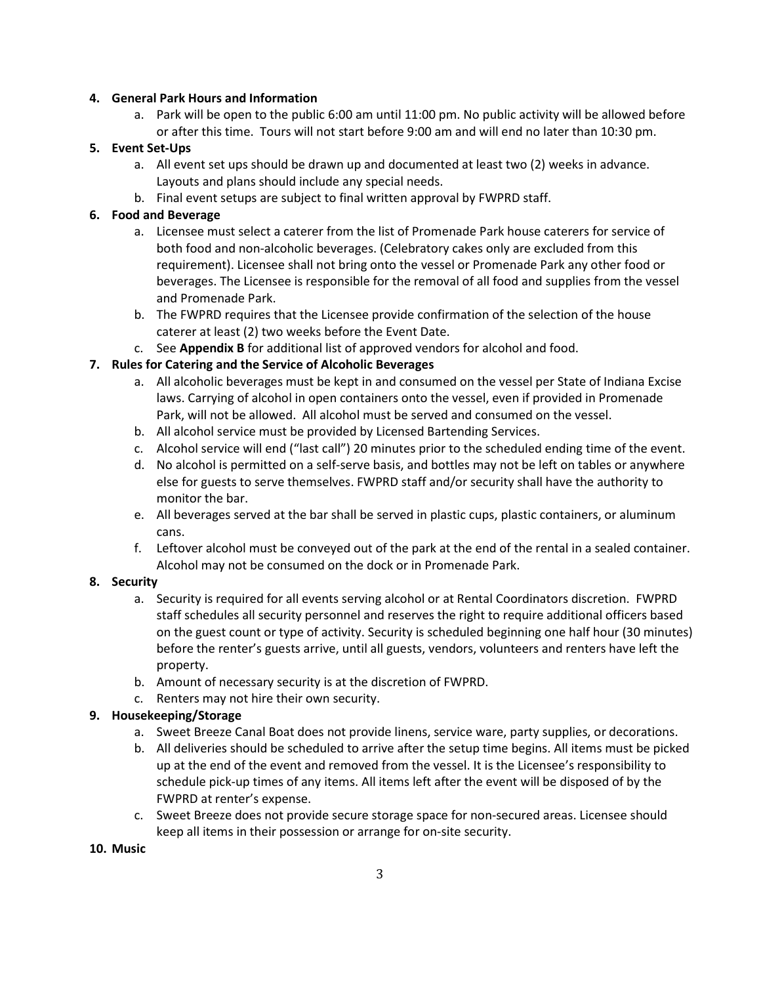# 4. General Park Hours and Information

a. Park will be open to the public 6:00 am until 11:00 pm. No public activity will be allowed before or after this time. Tours will not start before 9:00 am and will end no later than 10:30 pm.

# 5. Event Set-Ups

- a. All event set ups should be drawn up and documented at least two (2) weeks in advance. Layouts and plans should include any special needs.
- b. Final event setups are subject to final written approval by FWPRD staff.

# 6. Food and Beverage

- a. Licensee must select a caterer from the list of Promenade Park house caterers for service of both food and non-alcoholic beverages. (Celebratory cakes only are excluded from this requirement). Licensee shall not bring onto the vessel or Promenade Park any other food or beverages. The Licensee is responsible for the removal of all food and supplies from the vessel and Promenade Park.
- b. The FWPRD requires that the Licensee provide confirmation of the selection of the house caterer at least (2) two weeks before the Event Date.
- c. See Appendix B for additional list of approved vendors for alcohol and food.

# 7. Rules for Catering and the Service of Alcoholic Beverages

- a. All alcoholic beverages must be kept in and consumed on the vessel per State of Indiana Excise laws. Carrying of alcohol in open containers onto the vessel, even if provided in Promenade Park, will not be allowed. All alcohol must be served and consumed on the vessel.
- b. All alcohol service must be provided by Licensed Bartending Services.
- c. Alcohol service will end ("last call") 20 minutes prior to the scheduled ending time of the event.
- d. No alcohol is permitted on a self-serve basis, and bottles may not be left on tables or anywhere else for guests to serve themselves. FWPRD staff and/or security shall have the authority to monitor the bar.
- e. All beverages served at the bar shall be served in plastic cups, plastic containers, or aluminum cans.
- f. Leftover alcohol must be conveyed out of the park at the end of the rental in a sealed container. Alcohol may not be consumed on the dock or in Promenade Park.

#### 8. Security

- a. Security is required for all events serving alcohol or at Rental Coordinators discretion. FWPRD staff schedules all security personnel and reserves the right to require additional officers based on the guest count or type of activity. Security is scheduled beginning one half hour (30 minutes) before the renter's guests arrive, until all guests, vendors, volunteers and renters have left the property.
- b. Amount of necessary security is at the discretion of FWPRD.
- c. Renters may not hire their own security.

#### 9. Housekeeping/Storage

- a. Sweet Breeze Canal Boat does not provide linens, service ware, party supplies, or decorations.
- b. All deliveries should be scheduled to arrive after the setup time begins. All items must be picked up at the end of the event and removed from the vessel. It is the Licensee's responsibility to schedule pick-up times of any items. All items left after the event will be disposed of by the FWPRD at renter's expense.
- c. Sweet Breeze does not provide secure storage space for non-secured areas. Licensee should keep all items in their possession or arrange for on-site security.

#### 10. Music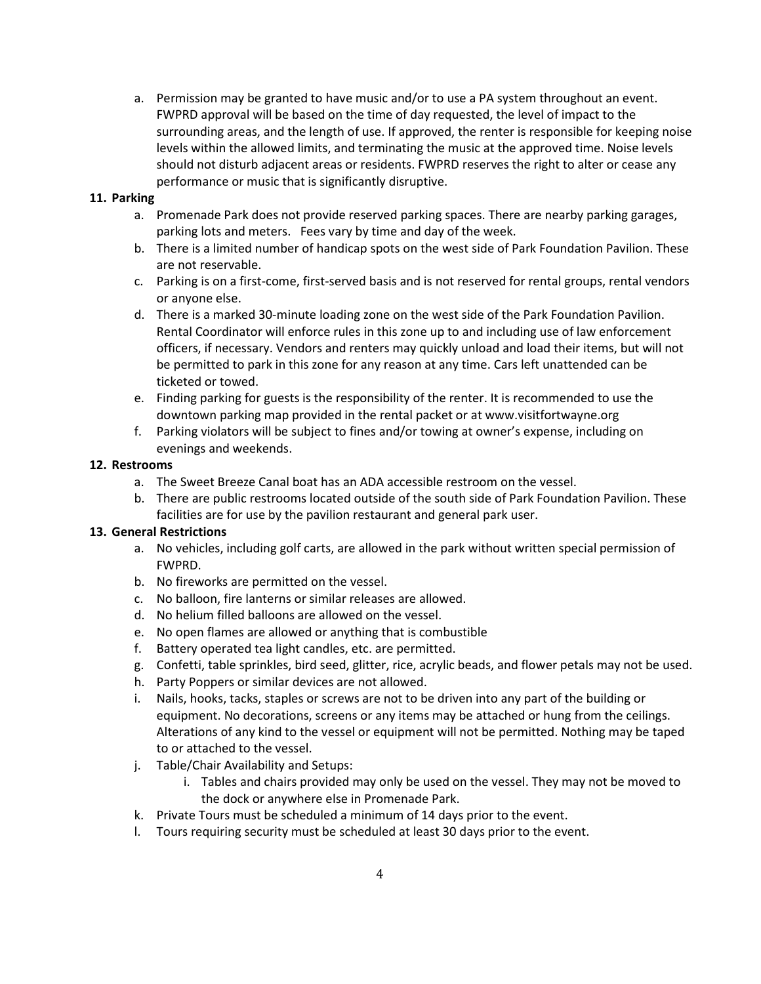a. Permission may be granted to have music and/or to use a PA system throughout an event. FWPRD approval will be based on the time of day requested, the level of impact to the surrounding areas, and the length of use. If approved, the renter is responsible for keeping noise levels within the allowed limits, and terminating the music at the approved time. Noise levels should not disturb adjacent areas or residents. FWPRD reserves the right to alter or cease any performance or music that is significantly disruptive.

# 11. Parking

- a. Promenade Park does not provide reserved parking spaces. There are nearby parking garages, parking lots and meters. Fees vary by time and day of the week.
- b. There is a limited number of handicap spots on the west side of Park Foundation Pavilion. These are not reservable.
- c. Parking is on a first-come, first-served basis and is not reserved for rental groups, rental vendors or anyone else.
- d. There is a marked 30-minute loading zone on the west side of the Park Foundation Pavilion. Rental Coordinator will enforce rules in this zone up to and including use of law enforcement officers, if necessary. Vendors and renters may quickly unload and load their items, but will not be permitted to park in this zone for any reason at any time. Cars left unattended can be ticketed or towed.
- e. Finding parking for guests is the responsibility of the renter. It is recommended to use the downtown parking map provided in the rental packet or at www.visitfortwayne.org
- f. Parking violators will be subject to fines and/or towing at owner's expense, including on evenings and weekends.

# 12. Restrooms

- a. The Sweet Breeze Canal boat has an ADA accessible restroom on the vessel.
- b. There are public restrooms located outside of the south side of Park Foundation Pavilion. These facilities are for use by the pavilion restaurant and general park user.

# 13. General Restrictions

- a. No vehicles, including golf carts, are allowed in the park without written special permission of FWPRD.
- b. No fireworks are permitted on the vessel.
- c. No balloon, fire lanterns or similar releases are allowed.
- d. No helium filled balloons are allowed on the vessel.
- e. No open flames are allowed or anything that is combustible
- f. Battery operated tea light candles, etc. are permitted.
- g. Confetti, table sprinkles, bird seed, glitter, rice, acrylic beads, and flower petals may not be used.
- h. Party Poppers or similar devices are not allowed.
- i. Nails, hooks, tacks, staples or screws are not to be driven into any part of the building or equipment. No decorations, screens or any items may be attached or hung from the ceilings. Alterations of any kind to the vessel or equipment will not be permitted. Nothing may be taped to or attached to the vessel.
- j. Table/Chair Availability and Setups:
	- i. Tables and chairs provided may only be used on the vessel. They may not be moved to the dock or anywhere else in Promenade Park.
- k. Private Tours must be scheduled a minimum of 14 days prior to the event.
- l. Tours requiring security must be scheduled at least 30 days prior to the event.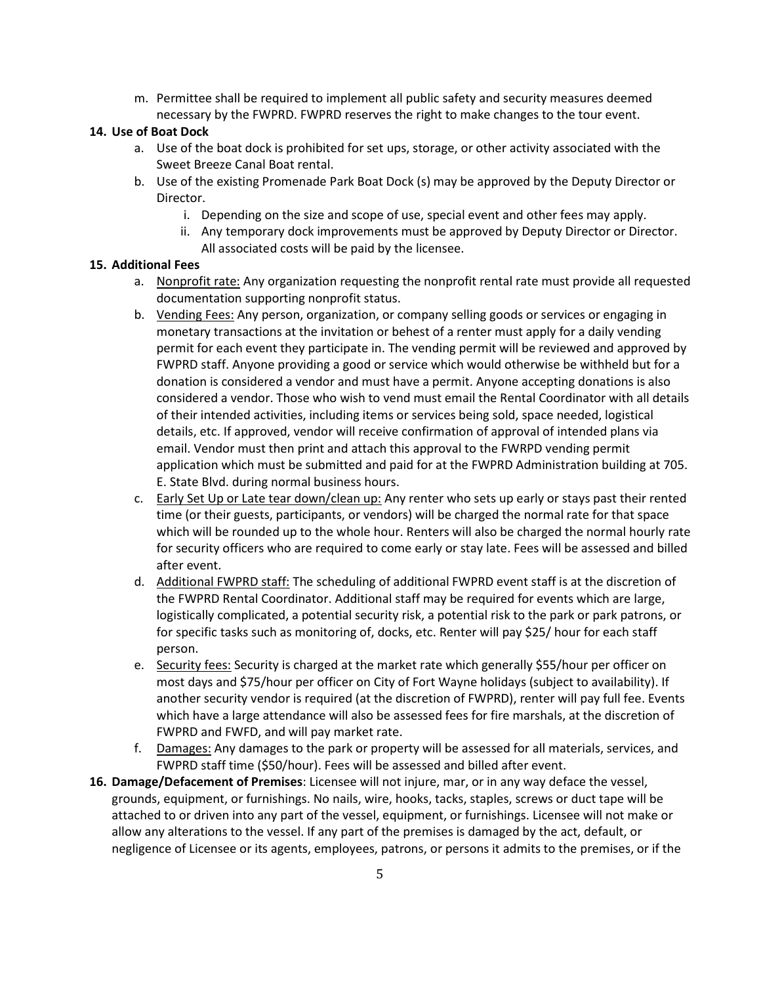m. Permittee shall be required to implement all public safety and security measures deemed necessary by the FWPRD. FWPRD reserves the right to make changes to the tour event.

# 14. Use of Boat Dock

- a. Use of the boat dock is prohibited for set ups, storage, or other activity associated with the Sweet Breeze Canal Boat rental.
- b. Use of the existing Promenade Park Boat Dock (s) may be approved by the Deputy Director or Director.
	- i. Depending on the size and scope of use, special event and other fees may apply.
	- ii. Any temporary dock improvements must be approved by Deputy Director or Director. All associated costs will be paid by the licensee.

#### 15. Additional Fees

- a. Nonprofit rate: Any organization requesting the nonprofit rental rate must provide all requested documentation supporting nonprofit status.
- b. Vending Fees: Any person, organization, or company selling goods or services or engaging in monetary transactions at the invitation or behest of a renter must apply for a daily vending permit for each event they participate in. The vending permit will be reviewed and approved by FWPRD staff. Anyone providing a good or service which would otherwise be withheld but for a donation is considered a vendor and must have a permit. Anyone accepting donations is also considered a vendor. Those who wish to vend must email the Rental Coordinator with all details of their intended activities, including items or services being sold, space needed, logistical details, etc. If approved, vendor will receive confirmation of approval of intended plans via email. Vendor must then print and attach this approval to the FWRPD vending permit application which must be submitted and paid for at the FWPRD Administration building at 705. E. State Blvd. during normal business hours.
- c. Early Set Up or Late tear down/clean up: Any renter who sets up early or stays past their rented time (or their guests, participants, or vendors) will be charged the normal rate for that space which will be rounded up to the whole hour. Renters will also be charged the normal hourly rate for security officers who are required to come early or stay late. Fees will be assessed and billed after event.
- d. Additional FWPRD staff: The scheduling of additional FWPRD event staff is at the discretion of the FWPRD Rental Coordinator. Additional staff may be required for events which are large, logistically complicated, a potential security risk, a potential risk to the park or park patrons, or for specific tasks such as monitoring of, docks, etc. Renter will pay \$25/ hour for each staff person.
- e. Security fees: Security is charged at the market rate which generally \$55/hour per officer on most days and \$75/hour per officer on City of Fort Wayne holidays (subject to availability). If another security vendor is required (at the discretion of FWPRD), renter will pay full fee. Events which have a large attendance will also be assessed fees for fire marshals, at the discretion of FWPRD and FWFD, and will pay market rate.
- f. Damages: Any damages to the park or property will be assessed for all materials, services, and FWPRD staff time (\$50/hour). Fees will be assessed and billed after event.
- 16. Damage/Defacement of Premises: Licensee will not injure, mar, or in any way deface the vessel, grounds, equipment, or furnishings. No nails, wire, hooks, tacks, staples, screws or duct tape will be attached to or driven into any part of the vessel, equipment, or furnishings. Licensee will not make or allow any alterations to the vessel. If any part of the premises is damaged by the act, default, or negligence of Licensee or its agents, employees, patrons, or persons it admits to the premises, or if the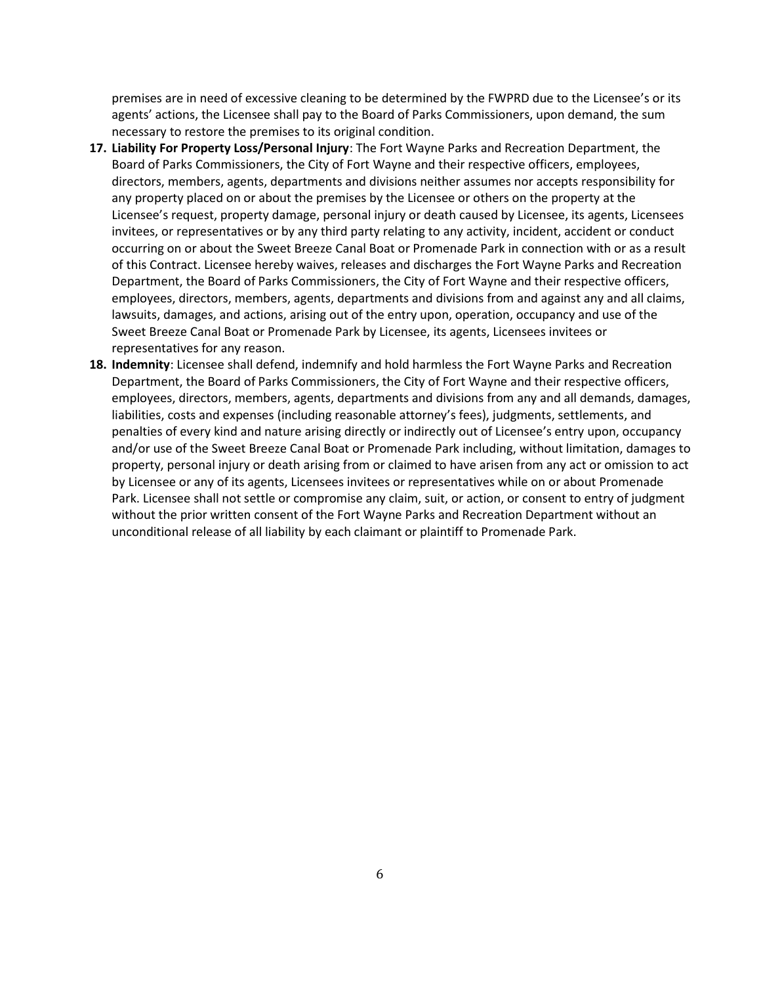premises are in need of excessive cleaning to be determined by the FWPRD due to the Licensee's or its agents' actions, the Licensee shall pay to the Board of Parks Commissioners, upon demand, the sum necessary to restore the premises to its original condition.

- 17. Liability For Property Loss/Personal Injury: The Fort Wayne Parks and Recreation Department, the Board of Parks Commissioners, the City of Fort Wayne and their respective officers, employees, directors, members, agents, departments and divisions neither assumes nor accepts responsibility for any property placed on or about the premises by the Licensee or others on the property at the Licensee's request, property damage, personal injury or death caused by Licensee, its agents, Licensees invitees, or representatives or by any third party relating to any activity, incident, accident or conduct occurring on or about the Sweet Breeze Canal Boat or Promenade Park in connection with or as a result of this Contract. Licensee hereby waives, releases and discharges the Fort Wayne Parks and Recreation Department, the Board of Parks Commissioners, the City of Fort Wayne and their respective officers, employees, directors, members, agents, departments and divisions from and against any and all claims, lawsuits, damages, and actions, arising out of the entry upon, operation, occupancy and use of the Sweet Breeze Canal Boat or Promenade Park by Licensee, its agents, Licensees invitees or representatives for any reason.
- 18. Indemnity: Licensee shall defend, indemnify and hold harmless the Fort Wayne Parks and Recreation Department, the Board of Parks Commissioners, the City of Fort Wayne and their respective officers, employees, directors, members, agents, departments and divisions from any and all demands, damages, liabilities, costs and expenses (including reasonable attorney's fees), judgments, settlements, and penalties of every kind and nature arising directly or indirectly out of Licensee's entry upon, occupancy and/or use of the Sweet Breeze Canal Boat or Promenade Park including, without limitation, damages to property, personal injury or death arising from or claimed to have arisen from any act or omission to act by Licensee or any of its agents, Licensees invitees or representatives while on or about Promenade Park. Licensee shall not settle or compromise any claim, suit, or action, or consent to entry of judgment without the prior written consent of the Fort Wayne Parks and Recreation Department without an unconditional release of all liability by each claimant or plaintiff to Promenade Park.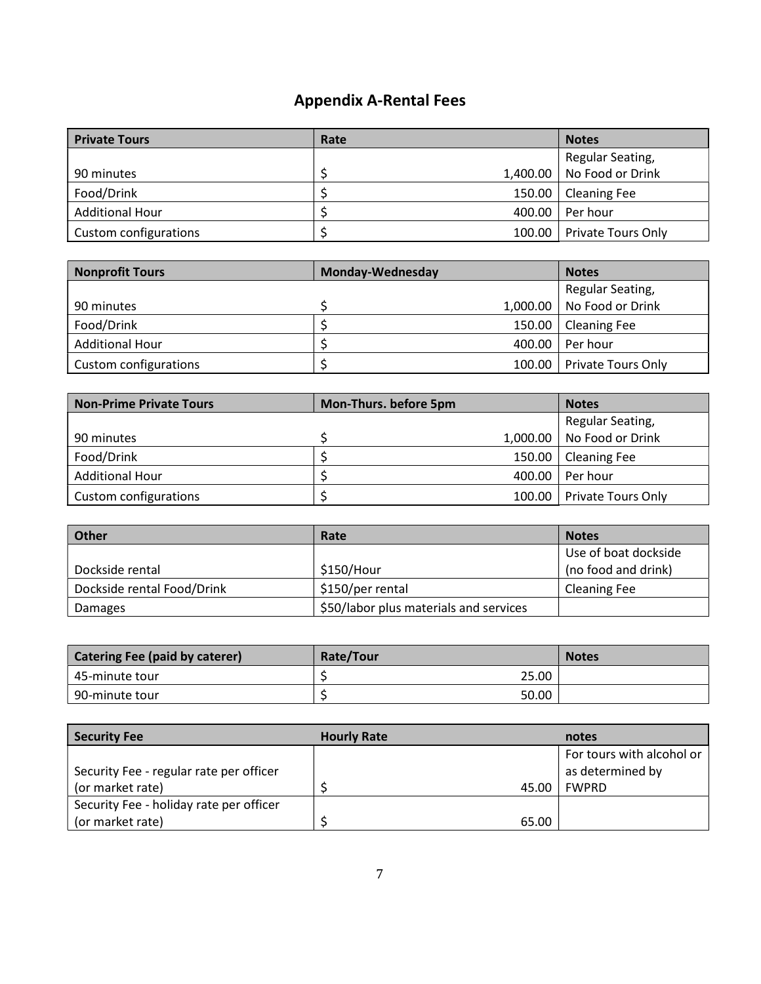# Appendix A-Rental Fees

| <b>Private Tours</b>   | Rate |          | <b>Notes</b>              |
|------------------------|------|----------|---------------------------|
|                        |      |          | Regular Seating,          |
| 90 minutes             |      | 1,400.00 | No Food or Drink          |
| Food/Drink             |      | 150.00   | <b>Cleaning Fee</b>       |
| <b>Additional Hour</b> |      | 400.00   | Per hour                  |
| Custom configurations  |      | 100.00   | <b>Private Tours Only</b> |

| <b>Nonprofit Tours</b> | Monday-Wednesday | <b>Notes</b>              |
|------------------------|------------------|---------------------------|
|                        |                  | Regular Seating,          |
| 90 minutes             | 1,000.00         | No Food or Drink          |
| Food/Drink             | 150.00           | <b>Cleaning Fee</b>       |
| <b>Additional Hour</b> | 400.00           | Per hour                  |
| Custom configurations  | 100.00           | <b>Private Tours Only</b> |

| <b>Non-Prime Private Tours</b> | <b>Mon-Thurs. before 5pm</b> |          | <b>Notes</b>              |
|--------------------------------|------------------------------|----------|---------------------------|
|                                |                              |          | Regular Seating,          |
| 90 minutes                     |                              | 1,000.00 | No Food or Drink          |
| Food/Drink                     |                              | 150.00   | <b>Cleaning Fee</b>       |
| <b>Additional Hour</b>         |                              | 400.00   | Per hour                  |
| Custom configurations          |                              | 100.00   | <b>Private Tours Only</b> |

| Other                      | Rate                                   | <b>Notes</b>         |
|----------------------------|----------------------------------------|----------------------|
|                            |                                        | Use of boat dockside |
| Dockside rental            | \$150/Hour                             | (no food and drink)  |
| Dockside rental Food/Drink | \$150/per rental                       | <b>Cleaning Fee</b>  |
| Damages                    | \$50/labor plus materials and services |                      |

| <b>Catering Fee (paid by caterer)</b> | Rate/Tour |       | <b>Notes</b> |
|---------------------------------------|-----------|-------|--------------|
| 45-minute tour                        |           | 25.00 |              |
| 90-minute tour                        |           | 50.00 |              |

| <b>Security Fee</b>                     | <b>Hourly Rate</b> |       | notes                     |
|-----------------------------------------|--------------------|-------|---------------------------|
|                                         |                    |       | For tours with alcohol or |
| Security Fee - regular rate per officer |                    |       | as determined by          |
| (or market rate)                        |                    | 45.00 | FWPRD                     |
| Security Fee - holiday rate per officer |                    |       |                           |
| (or market rate)                        |                    | 65.00 |                           |